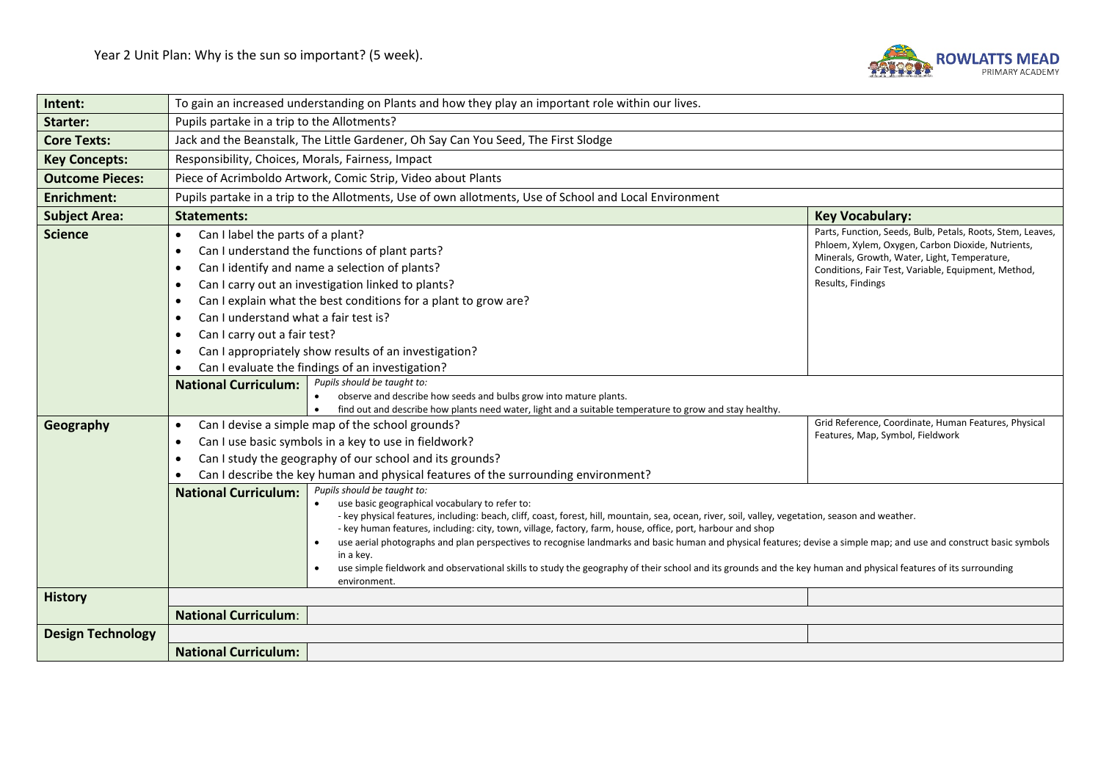

| Intent:                  | To gain an increased understanding on Plants and how they play an important role within our lives.                                                                                                                                                                                                                                                                                                                                                                                                                                                                                          |                                                                                                                                                                                                                                                                                                                                                                                                                                                                                                                                                                                                           |  |  |  |
|--------------------------|---------------------------------------------------------------------------------------------------------------------------------------------------------------------------------------------------------------------------------------------------------------------------------------------------------------------------------------------------------------------------------------------------------------------------------------------------------------------------------------------------------------------------------------------------------------------------------------------|-----------------------------------------------------------------------------------------------------------------------------------------------------------------------------------------------------------------------------------------------------------------------------------------------------------------------------------------------------------------------------------------------------------------------------------------------------------------------------------------------------------------------------------------------------------------------------------------------------------|--|--|--|
| Starter:                 | Pupils partake in a trip to the Allotments?                                                                                                                                                                                                                                                                                                                                                                                                                                                                                                                                                 |                                                                                                                                                                                                                                                                                                                                                                                                                                                                                                                                                                                                           |  |  |  |
| <b>Core Texts:</b>       | Jack and the Beanstalk, The Little Gardener, Oh Say Can You Seed, The First Slodge                                                                                                                                                                                                                                                                                                                                                                                                                                                                                                          |                                                                                                                                                                                                                                                                                                                                                                                                                                                                                                                                                                                                           |  |  |  |
| <b>Key Concepts:</b>     | Responsibility, Choices, Morals, Fairness, Impact                                                                                                                                                                                                                                                                                                                                                                                                                                                                                                                                           |                                                                                                                                                                                                                                                                                                                                                                                                                                                                                                                                                                                                           |  |  |  |
| <b>Outcome Pieces:</b>   | Piece of Acrimboldo Artwork, Comic Strip, Video about Plants                                                                                                                                                                                                                                                                                                                                                                                                                                                                                                                                |                                                                                                                                                                                                                                                                                                                                                                                                                                                                                                                                                                                                           |  |  |  |
| <b>Enrichment:</b>       | Pupils partake in a trip to the Allotments, Use of own allotments, Use of School and Local Environment                                                                                                                                                                                                                                                                                                                                                                                                                                                                                      |                                                                                                                                                                                                                                                                                                                                                                                                                                                                                                                                                                                                           |  |  |  |
| <b>Subject Area:</b>     | <b>Statements:</b>                                                                                                                                                                                                                                                                                                                                                                                                                                                                                                                                                                          | <b>Key Vocabulary:</b>                                                                                                                                                                                                                                                                                                                                                                                                                                                                                                                                                                                    |  |  |  |
| <b>Science</b>           | Can I label the parts of a plant?<br>$\bullet$<br>Can I understand the functions of plant parts?<br>$\bullet$<br>Can I identify and name a selection of plants?<br>$\bullet$<br>Can I carry out an investigation linked to plants?<br>$\bullet$<br>Can I explain what the best conditions for a plant to grow are?<br>$\bullet$<br>Can I understand what a fair test is?<br>$\bullet$<br>Can I carry out a fair test?<br>$\bullet$<br>Can I appropriately show results of an investigation?<br>$\bullet$<br>Can I evaluate the findings of an investigation?<br>Pupils should be taught to: | Parts, Function, Seeds, Bulb, Petals, Roots, Stem, Leaves,<br>Phloem, Xylem, Oxygen, Carbon Dioxide, Nutrients,<br>Minerals, Growth, Water, Light, Temperature,<br>Conditions, Fair Test, Variable, Equipment, Method,<br>Results, Findings                                                                                                                                                                                                                                                                                                                                                               |  |  |  |
|                          | <b>National Curriculum:</b><br>observe and describe how seeds and bulbs grow into mature plants.<br>find out and describe how plants need water, light and a suitable temperature to grow and stay healthy.<br>$\bullet$                                                                                                                                                                                                                                                                                                                                                                    |                                                                                                                                                                                                                                                                                                                                                                                                                                                                                                                                                                                                           |  |  |  |
| Geography                | Grid Reference, Coordinate, Human Features, Physical<br>Can I devise a simple map of the school grounds?<br>$\bullet$<br>Features, Map, Symbol, Fieldwork<br>Can I use basic symbols in a key to use in fieldwork?<br>$\bullet$<br>Can I study the geography of our school and its grounds?<br>$\bullet$<br>Can I describe the key human and physical features of the surrounding environment?<br>$\bullet$                                                                                                                                                                                 |                                                                                                                                                                                                                                                                                                                                                                                                                                                                                                                                                                                                           |  |  |  |
|                          | Pupils should be taught to:<br><b>National Curriculum:</b><br>use basic geographical vocabulary to refer to:<br>in a key.<br>environment.                                                                                                                                                                                                                                                                                                                                                                                                                                                   | - key physical features, including: beach, cliff, coast, forest, hill, mountain, sea, ocean, river, soil, valley, vegetation, season and weather.<br>- key human features, including: city, town, village, factory, farm, house, office, port, harbour and shop<br>use aerial photographs and plan perspectives to recognise landmarks and basic human and physical features; devise a simple map; and use and construct basic symbols<br>use simple fieldwork and observational skills to study the geography of their school and its grounds and the key human and physical features of its surrounding |  |  |  |
| <b>History</b>           |                                                                                                                                                                                                                                                                                                                                                                                                                                                                                                                                                                                             |                                                                                                                                                                                                                                                                                                                                                                                                                                                                                                                                                                                                           |  |  |  |
|                          | <b>National Curriculum:</b>                                                                                                                                                                                                                                                                                                                                                                                                                                                                                                                                                                 |                                                                                                                                                                                                                                                                                                                                                                                                                                                                                                                                                                                                           |  |  |  |
| <b>Design Technology</b> |                                                                                                                                                                                                                                                                                                                                                                                                                                                                                                                                                                                             |                                                                                                                                                                                                                                                                                                                                                                                                                                                                                                                                                                                                           |  |  |  |
|                          | <b>National Curriculum:</b>                                                                                                                                                                                                                                                                                                                                                                                                                                                                                                                                                                 |                                                                                                                                                                                                                                                                                                                                                                                                                                                                                                                                                                                                           |  |  |  |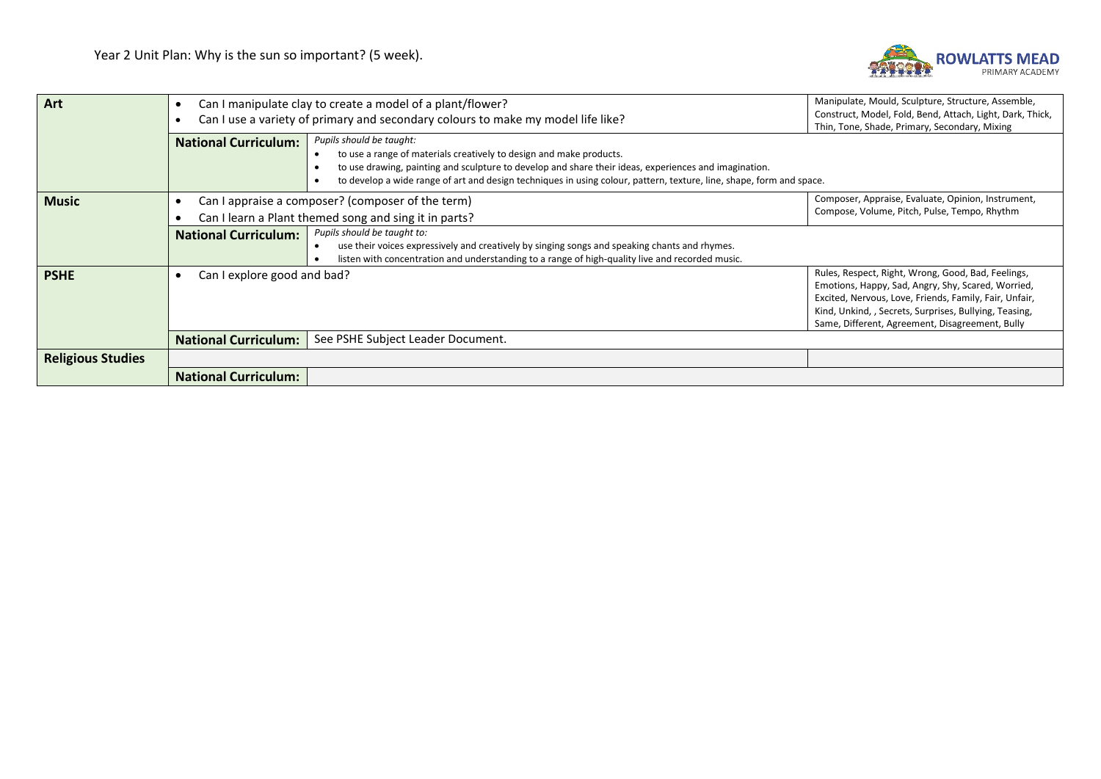

| Art                      | Manipulate, Mould, Sculpture, Structure, Assemble,<br>Can I manipulate clay to create a model of a plant/flower?<br>Construct, Model, Fold, Bend, Attach, Light, Dark, Thick,<br>Can I use a variety of primary and secondary colours to make my model life like?<br>Thin, Tone, Shade, Primary, Secondary, Mixing |                                                                                                                                                                                                                                                                                                                                  |                                                                                                                                                                                                                                                                                 |  |
|--------------------------|--------------------------------------------------------------------------------------------------------------------------------------------------------------------------------------------------------------------------------------------------------------------------------------------------------------------|----------------------------------------------------------------------------------------------------------------------------------------------------------------------------------------------------------------------------------------------------------------------------------------------------------------------------------|---------------------------------------------------------------------------------------------------------------------------------------------------------------------------------------------------------------------------------------------------------------------------------|--|
|                          | <b>National Curriculum:</b>                                                                                                                                                                                                                                                                                        | Pupils should be taught:<br>to use a range of materials creatively to design and make products.<br>to use drawing, painting and sculpture to develop and share their ideas, experiences and imagination.<br>to develop a wide range of art and design techniques in using colour, pattern, texture, line, shape, form and space. |                                                                                                                                                                                                                                                                                 |  |
| <b>Music</b>             |                                                                                                                                                                                                                                                                                                                    | Can I appraise a composer? (composer of the term)                                                                                                                                                                                                                                                                                | Composer, Appraise, Evaluate, Opinion, Instrument,<br>Compose, Volume, Pitch, Pulse, Tempo, Rhythm                                                                                                                                                                              |  |
|                          | <b>National Curriculum:</b>                                                                                                                                                                                                                                                                                        | Can I learn a Plant themed song and sing it in parts?<br>Pupils should be taught to:<br>use their voices expressively and creatively by singing songs and speaking chants and rhymes.<br>listen with concentration and understanding to a range of high-quality live and recorded music.                                         |                                                                                                                                                                                                                                                                                 |  |
| <b>PSHE</b>              | Can I explore good and bad?                                                                                                                                                                                                                                                                                        |                                                                                                                                                                                                                                                                                                                                  | Rules, Respect, Right, Wrong, Good, Bad, Feelings,<br>Emotions, Happy, Sad, Angry, Shy, Scared, Worried,<br>Excited, Nervous, Love, Friends, Family, Fair, Unfair,<br>Kind, Unkind, , Secrets, Surprises, Bullying, Teasing,<br>Same, Different, Agreement, Disagreement, Bully |  |
|                          | See PSHE Subject Leader Document.<br><b>National Curriculum:</b>                                                                                                                                                                                                                                                   |                                                                                                                                                                                                                                                                                                                                  |                                                                                                                                                                                                                                                                                 |  |
| <b>Religious Studies</b> |                                                                                                                                                                                                                                                                                                                    |                                                                                                                                                                                                                                                                                                                                  |                                                                                                                                                                                                                                                                                 |  |
|                          | <b>National Curriculum:</b>                                                                                                                                                                                                                                                                                        |                                                                                                                                                                                                                                                                                                                                  |                                                                                                                                                                                                                                                                                 |  |